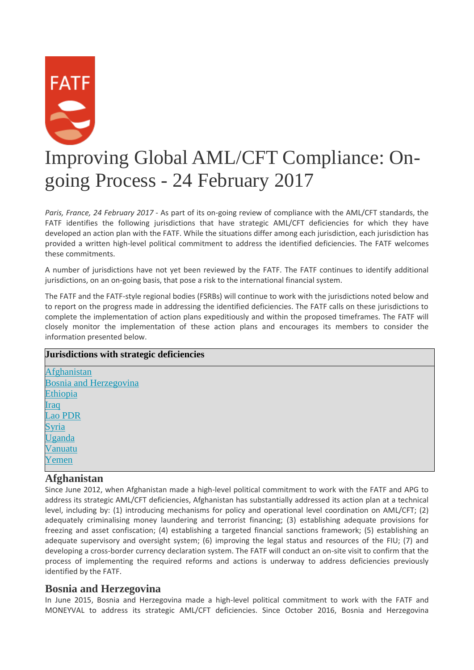

# Improving Global AML/CFT Compliance: Ongoing Process - 24 February 2017

*Paris, France, 24 February 2017* - As part of its on-going review of compliance with the AML/CFT standards, the FATF identifies the following jurisdictions that have strategic AML/CFT deficiencies for which they have developed an action plan with the FATF. While the situations differ among each jurisdiction, each jurisdiction has provided a written high-level political commitment to address the identified deficiencies. The FATF welcomes these commitments.

A number of jurisdictions have not yet been reviewed by the FATF. The FATF continues to identify additional jurisdictions, on an on-going basis, that pose a risk to the international financial system.

The FATF and the FATF-style regional bodies (FSRBs) will continue to work with the jurisdictions noted below and to report on the progress made in addressing the identified deficiencies. The FATF calls on these jurisdictions to complete the implementation of action plans expeditiously and within the proposed timeframes. The FATF will closely monitor the implementation of these action plans and encourages its members to consider the information presented below.

## **Jurisdictions with strategic deficiencies** [Afghanistan](http://www.fatf-gafi.org/publications/high-riskandnon-cooperativejurisdictions/documents/fatf-compliance-february-2017.html#Afghanistan) [Bosnia and Herzegovina](http://www.fatf-gafi.org/publications/high-riskandnon-cooperativejurisdictions/documents/fatf-compliance-february-2017.html#bosnia-and-herzegovina) [Ethiopia](http://www.fatf-gafi.org/publications/high-riskandnon-cooperativejurisdictions/documents/fatf-compliance-february-2017.html#ethiopia) [Iraq](http://www.fatf-gafi.org/publications/high-riskandnon-cooperativejurisdictions/documents/fatf-compliance-february-2017.html#iraq) [Lao PDR](http://www.fatf-gafi.org/publications/high-riskandnon-cooperativejurisdictions/documents/fatf-compliance-february-2017.html#laopdr) [Syria](http://www.fatf-gafi.org/publications/high-riskandnon-cooperativejurisdictions/documents/fatf-compliance-february-2017.html#syria) [Uganda](http://www.fatf-gafi.org/publications/high-riskandnon-cooperativejurisdictions/documents/fatf-compliance-february-2017.html#uganda) [Vanuatu](http://www.fatf-gafi.org/publications/high-riskandnon-cooperativejurisdictions/documents/fatf-compliance-february-2017.html#vanuatu)

#### **Afghanistan**

[Yemen](http://www.fatf-gafi.org/publications/high-riskandnon-cooperativejurisdictions/documents/fatf-compliance-february-2017.html#yemen)

Since June 2012, when Afghanistan made a high-level political commitment to work with the FATF and APG to address its strategic AML/CFT deficiencies, Afghanistan has substantially addressed its action plan at a technical level, including by: (1) introducing mechanisms for policy and operational level coordination on AML/CFT; (2) adequately criminalising money laundering and terrorist financing; (3) establishing adequate provisions for freezing and asset confiscation; (4) establishing a targeted financial sanctions framework; (5) establishing an adequate supervisory and oversight system; (6) improving the legal status and resources of the FIU; (7) and developing a cross-border currency declaration system. The FATF will conduct an on-site visit to confirm that the process of implementing the required reforms and actions is underway to address deficiencies previously identified by the FATF.

#### **Bosnia and Herzegovina**

In June 2015, Bosnia and Herzegovina made a high-level political commitment to work with the FATF and MONEYVAL to address its strategic AML/CFT deficiencies. Since October 2016, Bosnia and Herzegovina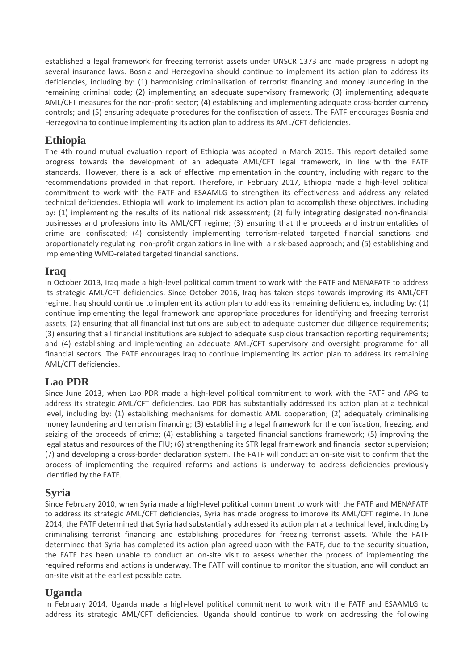established a legal framework for freezing terrorist assets under UNSCR 1373 and made progress in adopting several insurance laws. Bosnia and Herzegovina should continue to implement its action plan to address its deficiencies, including by: (1) harmonising criminalisation of terrorist financing and money laundering in the remaining criminal code; (2) implementing an adequate supervisory framework; (3) implementing adequate AML/CFT measures for the non-profit sector; (4) establishing and implementing adequate cross-border currency controls; and (5) ensuring adequate procedures for the confiscation of assets. The FATF encourages Bosnia and Herzegovina to continue implementing its action plan to address its AML/CFT deficiencies.

#### **Ethiopia**

The 4th round mutual evaluation report of Ethiopia was adopted in March 2015. This report detailed some progress towards the development of an adequate AML/CFT legal framework, in line with the FATF standards. However, there is a lack of effective implementation in the country, including with regard to the recommendations provided in that report. Therefore, in February 2017, Ethiopia made a high-level political commitment to work with the FATF and ESAAMLG to strengthen its effectiveness and address any related technical deficiencies. Ethiopia will work to implement its action plan to accomplish these objectives, including by: (1) implementing the results of its national risk assessment; (2) fully integrating designated non-financial businesses and professions into its AML/CFT regime; (3) ensuring that the proceeds and instrumentalities of crime are confiscated; (4) consistently implementing terrorism-related targeted financial sanctions and proportionately regulating non-profit organizations in line with a risk-based approach; and (5) establishing and implementing WMD-related targeted financial sanctions.

## **Iraq**

In October 2013, Iraq made a high-level political commitment to work with the FATF and MENAFATF to address its strategic AML/CFT deficiencies. Since October 2016, Iraq has taken steps towards improving its AML/CFT regime. Iraq should continue to implement its action plan to address its remaining deficiencies, including by: (1) continue implementing the legal framework and appropriate procedures for identifying and freezing terrorist assets; (2) ensuring that all financial institutions are subject to adequate customer due diligence requirements; (3) ensuring that all financial institutions are subject to adequate suspicious transaction reporting requirements; and (4) establishing and implementing an adequate AML/CFT supervisory and oversight programme for all financial sectors. The FATF encourages Iraq to continue implementing its action plan to address its remaining AML/CFT deficiencies.

## **Lao PDR**

Since June 2013, when Lao PDR made a high-level political commitment to work with the FATF and APG to address its strategic AML/CFT deficiencies, Lao PDR has substantially addressed its action plan at a technical level, including by: (1) establishing mechanisms for domestic AML cooperation; (2) adequately criminalising money laundering and terrorism financing; (3) establishing a legal framework for the confiscation, freezing, and seizing of the proceeds of crime; (4) establishing a targeted financial sanctions framework; (5) improving the legal status and resources of the FIU; (6) strengthening its STR legal framework and financial sector supervision; (7) and developing a cross-border declaration system. The FATF will conduct an on-site visit to confirm that the process of implementing the required reforms and actions is underway to address deficiencies previously identified by the FATF.

#### **Syria**

Since February 2010, when Syria made a high-level political commitment to work with the FATF and MENAFATF to address its strategic AML/CFT deficiencies, Syria has made progress to improve its AML/CFT regime. In June 2014, the FATF determined that Syria had substantially addressed its action plan at a technical level, including by criminalising terrorist financing and establishing procedures for freezing terrorist assets. While the FATF determined that Syria has completed its action plan agreed upon with the FATF, due to the security situation, the FATF has been unable to conduct an on-site visit to assess whether the process of implementing the required reforms and actions is underway. The FATF will continue to monitor the situation, and will conduct an on-site visit at the earliest possible date.

## **Uganda**

In February 2014, Uganda made a high-level political commitment to work with the FATF and ESAAMLG to address its strategic AML/CFT deficiencies. Uganda should continue to work on addressing the following